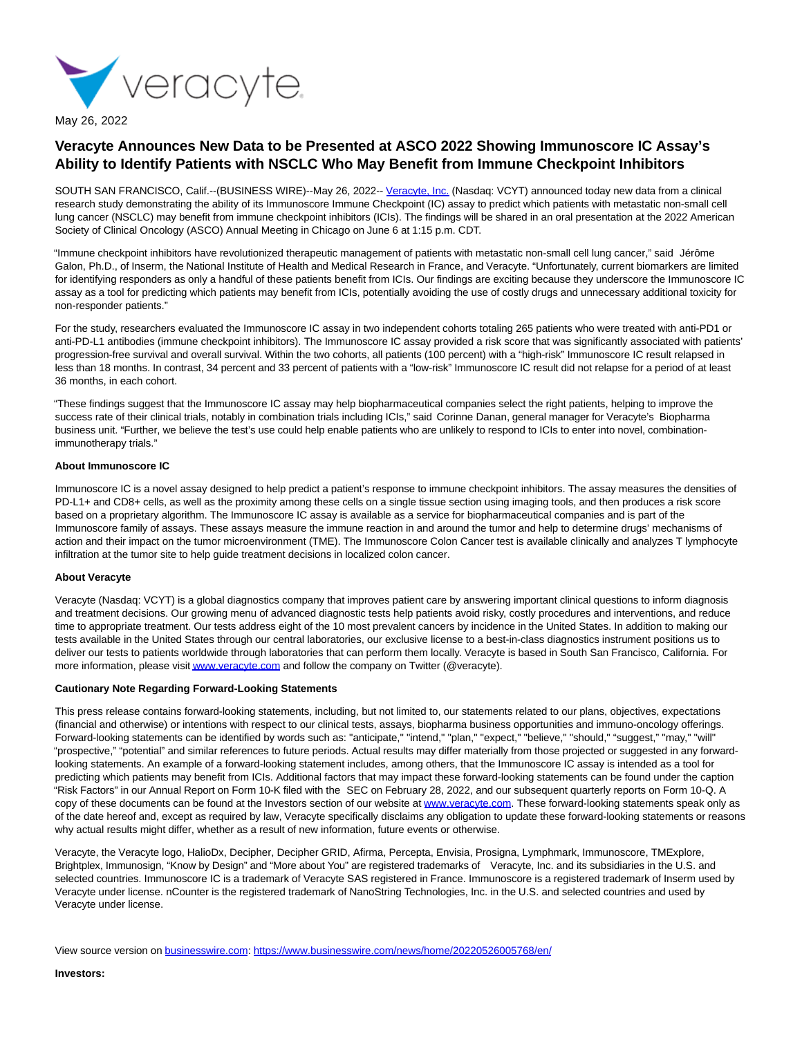

May 26, 2022

# **Veracyte Announces New Data to be Presented at ASCO 2022 Showing Immunoscore IC Assay's Ability to Identify Patients with NSCLC Who May Benefit from Immune Checkpoint Inhibitors**

SOUTH SAN FRANCISCO, Calif.--(BUSINESS WIRE)--May 26, 2022-- [Veracyte, Inc. \(](https://cts.businesswire.com/ct/CT?id=smartlink&url=http%3A%2F%2Fwww.veracyte.com%2F&esheet=52732315&newsitemid=20220526005768&lan=en-US&anchor=Veracyte%2C+Inc.&index=1&md5=b5b038ea8cfc29838ca53f4632326e2d)Nasdaq: VCYT) announced today new data from a clinical research study demonstrating the ability of its Immunoscore Immune Checkpoint (IC) assay to predict which patients with metastatic non-small cell lung cancer (NSCLC) may benefit from immune checkpoint inhibitors (ICIs). The findings will be shared in an oral presentation at the 2022 American Society of Clinical Oncology (ASCO) Annual Meeting in Chicago on June 6 at 1:15 p.m. CDT.

"Immune checkpoint inhibitors have revolutionized therapeutic management of patients with metastatic non-small cell lung cancer," said Jérôme Galon, Ph.D., of Inserm, the National Institute of Health and Medical Research in France, and Veracyte. "Unfortunately, current biomarkers are limited for identifying responders as only a handful of these patients benefit from ICIs. Our findings are exciting because they underscore the Immunoscore IC assay as a tool for predicting which patients may benefit from ICIs, potentially avoiding the use of costly drugs and unnecessary additional toxicity for non-responder patients."

For the study, researchers evaluated the Immunoscore IC assay in two independent cohorts totaling 265 patients who were treated with anti-PD1 or anti-PD-L1 antibodies (immune checkpoint inhibitors). The Immunoscore IC assay provided a risk score that was significantly associated with patients' progression-free survival and overall survival. Within the two cohorts, all patients (100 percent) with a "high-risk" Immunoscore IC result relapsed in less than 18 months. In contrast, 34 percent and 33 percent of patients with a "low-risk" Immunoscore IC result did not relapse for a period of at least 36 months, in each cohort.

"These findings suggest that the Immunoscore IC assay may help biopharmaceutical companies select the right patients, helping to improve the success rate of their clinical trials, notably in combination trials including ICIs," said Corinne Danan, general manager for Veracyte's Biopharma business unit. "Further, we believe the test's use could help enable patients who are unlikely to respond to ICIs to enter into novel, combinationimmunotherapy trials."

## **About Immunoscore IC**

Immunoscore IC is a novel assay designed to help predict a patient's response to immune checkpoint inhibitors. The assay measures the densities of PD-L1+ and CD8+ cells, as well as the proximity among these cells on a single tissue section using imaging tools, and then produces a risk score based on a proprietary algorithm. The Immunoscore IC assay is available as a service for biopharmaceutical companies and is part of the Immunoscore family of assays. These assays measure the immune reaction in and around the tumor and help to determine drugs' mechanisms of action and their impact on the tumor microenvironment (TME). The Immunoscore Colon Cancer test is available clinically and analyzes T lymphocyte infiltration at the tumor site to help guide treatment decisions in localized colon cancer.

# **About Veracyte**

Veracyte (Nasdaq: VCYT) is a global diagnostics company that improves patient care by answering important clinical questions to inform diagnosis and treatment decisions. Our growing menu of advanced diagnostic tests help patients avoid risky, costly procedures and interventions, and reduce time to appropriate treatment. Our tests address eight of the 10 most prevalent cancers by incidence in the United States. In addition to making our tests available in the United States through our central laboratories, our exclusive license to a best-in-class diagnostics instrument positions us to deliver our tests to patients worldwide through laboratories that can perform them locally. Veracyte is based in South San Francisco, California. For more information, please visi[t www.veracyte.com a](https://cts.businesswire.com/ct/CT?id=smartlink&url=http%3A%2F%2Fwww.veracyte.com&esheet=52732315&newsitemid=20220526005768&lan=en-US&anchor=www.veracyte.com&index=2&md5=00981556088dfd2369fc6b70b6b8fdc0)nd follow the company on Twitter (@veracyte).

#### **Cautionary Note Regarding Forward-Looking Statements**

This press release contains forward-looking statements, including, but not limited to, our statements related to our plans, objectives, expectations (financial and otherwise) or intentions with respect to our clinical tests, assays, biopharma business opportunities and immuno-oncology offerings. Forward-looking statements can be identified by words such as: "anticipate," "intend," "plan," "expect," "believe," "should," "suggest," "may," "will" "prospective," "potential" and similar references to future periods. Actual results may differ materially from those projected or suggested in any forwardlooking statements. An example of a forward-looking statement includes, among others, that the Immunoscore IC assay is intended as a tool for predicting which patients may benefit from ICIs. Additional factors that may impact these forward-looking statements can be found under the caption "Risk Factors" in our Annual Report on Form 10-K filed with the SEC on February 28, 2022, and our subsequent quarterly reports on Form 10-Q. A copy of these documents can be found at the Investors section of our website at [www.veracyte.com.](https://cts.businesswire.com/ct/CT?id=smartlink&url=http%3A%2F%2Fwww.veracyte.com&esheet=52732315&newsitemid=20220526005768&lan=en-US&anchor=www.veracyte.com&index=3&md5=4bc0231386445c313a3ad4e5cc814728) These forward-looking statements speak only as of the date hereof and, except as required by law, Veracyte specifically disclaims any obligation to update these forward-looking statements or reasons why actual results might differ, whether as a result of new information, future events or otherwise.

Veracyte, the Veracyte logo, HalioDx, Decipher, Decipher GRID, Afirma, Percepta, Envisia, Prosigna, Lymphmark, Immunoscore, TMExplore, Brightplex, Immunosign, "Know by Design" and "More about You" are registered trademarks of Veracyte, Inc. and its subsidiaries in the U.S. and selected countries. Immunoscore IC is a trademark of Veracyte SAS registered in France. Immunoscore is a registered trademark of Inserm used by Veracyte under license. nCounter is the registered trademark of NanoString Technologies, Inc. in the U.S. and selected countries and used by Veracyte under license.

View source version on [businesswire.com:](http://businesswire.com/)<https://www.businesswire.com/news/home/20220526005768/en/>